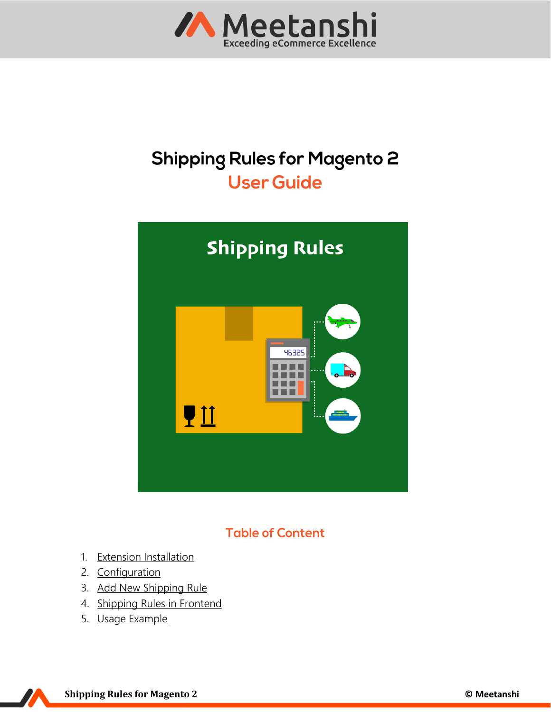

## **Shipping Rules for Magento 2 User Guide**



### **Table of Content**

- 1. [Extension Installation](#page-1-0)
- 2. [Configuration](#page-1-1)
- 3. [Add New Shipping Rule](#page-1-2)
- 4. [Shipping Rules in Frontend](#page-6-0)
- 5. [Usage Example](#page-7-0)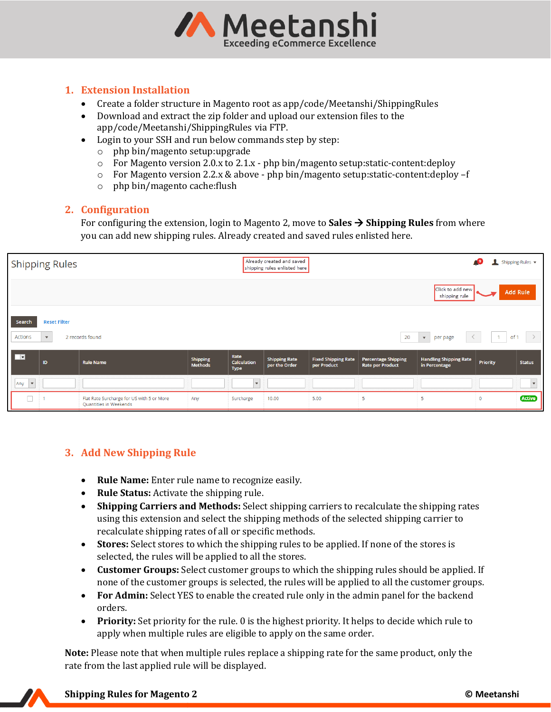

#### <span id="page-1-0"></span>**1. Extension Installation**

- Create a folder structure in Magento root as app/code/Meetanshi/ShippingRules
- Download and extract the zip folder and upload our extension files to the app/code/Meetanshi/ShippingRules via FTP.
- Login to your SSH and run below commands step by step:
	- o php bin/magento setup:upgrade
	- o For Magento version 2.0.x to 2.1.x php bin/magento setup:static-content:deploy
	- $\circ$  For Magento version 2.2.x & above php bin/magento setup: static-content: deploy -f
	- o php bin/magento cache:flush

#### <span id="page-1-1"></span>**2. Configuration**

For configuring the extension, login to Magento 2, move to **Sales** → **Shipping Rules** from where you can add new shipping rules. Already created and saved rules enlisted here.

|                                 | <b>Shipping Rules</b>               |                                                                     |                                   |                                           | Already created and saved<br>shipping rules enlisted here |                                           |                                                       |                                                |                 | Shipping-Rules v         |
|---------------------------------|-------------------------------------|---------------------------------------------------------------------|-----------------------------------|-------------------------------------------|-----------------------------------------------------------|-------------------------------------------|-------------------------------------------------------|------------------------------------------------|-----------------|--------------------------|
|                                 |                                     |                                                                     |                                   |                                           |                                                           |                                           |                                                       | Click to add new<br>shipping rule              |                 | <b>Add Rule</b>          |
| Search<br>Actions               | <b>Reset Filter</b><br>$\mathbf{v}$ | 2 records found                                                     |                                   |                                           |                                                           |                                           | 20                                                    | $\mathbf{v}$<br>per page                       |                 | $\rightarrow$<br>of 1    |
| ाच                              | ID                                  | <b>Rule Name</b>                                                    | <b>Shipping</b><br><b>Methods</b> | Rate<br><b>Calculation</b><br><b>Type</b> | <b>Shipping Rate</b><br>per the Order                     | <b>Fixed Shipping Rate</b><br>per Product | <b>Percentage Shipping</b><br><b>Rate per Product</b> | <b>Handling Shipping Rate</b><br>in Percentage | <b>Priority</b> | <b>Status</b>            |
| Any<br>$\overline{\phantom{a}}$ |                                     |                                                                     |                                   | $\mathbf{v}$                              |                                                           |                                           |                                                       |                                                |                 | $\overline{\phantom{a}}$ |
|                                 |                                     | Flat Rate Surcharge for US with 5 or More<br>Quantities in Weekends | Any                               | Surcharge                                 | 10.00                                                     | 5.00                                      | 5                                                     | 5                                              | $\mathbf 0$     | <b>Active</b>            |

#### <span id="page-1-2"></span>**3. Add New Shipping Rule**

- **Rule Name:** Enter rule name to recognize easily.
- **Rule Status:** Activate the shipping rule.
- **Shipping Carriers and Methods:** Select shipping carriers to recalculate the shipping rates using this extension and select the shipping methods of the selected shipping carrier to recalculate shipping rates of all or specific methods.
- **Stores:** Select stores to which the shipping rules to be applied. If none of the stores is selected, the rules will be applied to all the stores.
- **Customer Groups:** Select customer groups to which the shipping rules should be applied. If none of the customer groups is selected, the rules will be applied to all the customer groups.
- **For Admin:** Select YES to enable the created rule only in the admin panel for the backend orders.
- **Priority:** Set priority for the rule. 0 is the highest priority. It helps to decide which rule to apply when multiple rules are eligible to apply on the same order.

**Note:** Please note that when multiple rules replace a shipping rate for the same product, only the rate from the last applied rule will be displayed.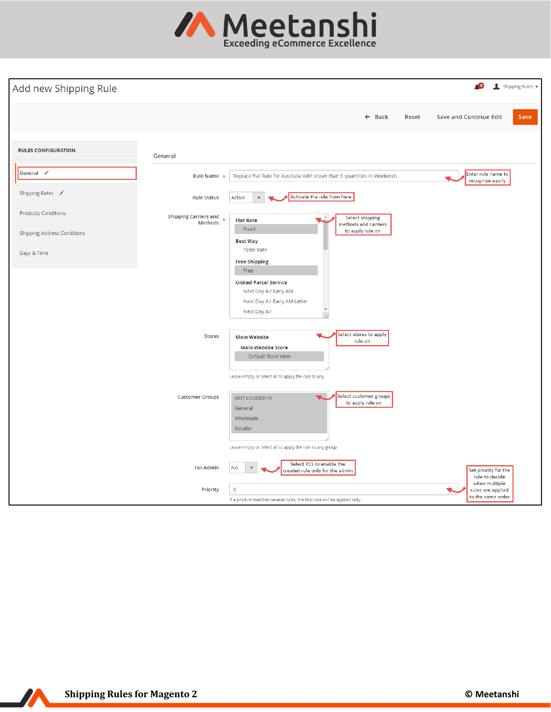

| Add new Shipping Rule              |                                         |                                                                                                                                                                   | Shipping-Rules v                                        |
|------------------------------------|-----------------------------------------|-------------------------------------------------------------------------------------------------------------------------------------------------------------------|---------------------------------------------------------|
|                                    |                                         | $\leftarrow$ Back                                                                                                                                                 | <b>Save and Continue Edit</b><br>Reset<br>Save          |
| <b>RULES CONFIGURATION</b>         | General                                 |                                                                                                                                                                   |                                                         |
| General /                          | Rule Name *                             | Replace Flat Rate for Australia with lesser than 3 quantities in Weekends                                                                                         | Enter rule name to<br>recognize easily                  |
| Shipping Rates /                   | <b>Rule Status</b>                      | Activate the rule from here<br>Active                                                                                                                             |                                                         |
| <b>Products Conditions</b>         | <b>Shipping Carriers and</b><br>Methods | Select shipping<br><b>Flat Rate</b><br>nethods and carriers                                                                                                       |                                                         |
| <b>Shipping Address Conditions</b> |                                         | Fixed<br>to apply rule on<br><b>Best Way</b>                                                                                                                      |                                                         |
| Days & Time                        |                                         | <b>Table Rate</b><br><b>Free Shipping</b>                                                                                                                         |                                                         |
|                                    |                                         | Free<br><b>United Parcel Service</b><br>Next Day Air Early AM<br>Next Day Air Early AM Letter<br>Next Day Air                                                     |                                                         |
|                                    | <b>Stores</b>                           | Select stores to apply<br><b>Main Website</b><br>rule on<br><b>Main Website Store</b><br>Default Store View<br>Leave empty or select all to apply the rule to any |                                                         |
|                                    | <b>Customer Groups</b>                  | Select customer groups<br>NOT LOGGED IN<br>to apply rule on<br>General<br>Wholesale<br>Retailer<br>Leave empty or select all to apply the rule to any group       |                                                         |
|                                    | <b>For Admin</b>                        | Select YES to enable the<br>No<br>created rule only for the admin                                                                                                 | Set priority for the<br>rule to decide                  |
|                                    | <b>Priority</b>                         | $\overline{0}$<br>If a product matches several rules, the first rule will be applied only.                                                                        | when multiple<br>rules are applied<br>to the same order |

 $\overline{\mathbf{v}}$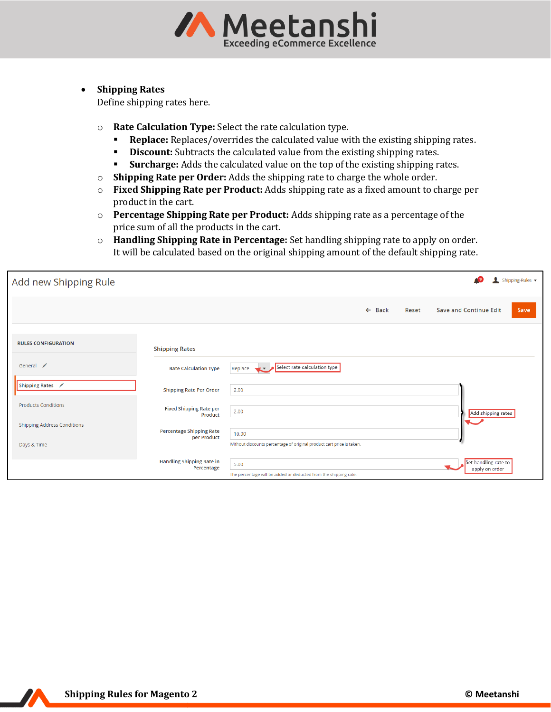

#### • **Shipping Rates**

Define shipping rates here.

- o **Rate Calculation Type:** Select the rate calculation type.
	- **Replace:** Replaces/overrides the calculated value with the existing shipping rates.
	- **Discount:** Subtracts the calculated value from the existing shipping rates.
	- **Example:** Surcharge: Adds the calculated value on the top of the existing shipping rates.
- o **Shipping Rate per Order:** Adds the shipping rate to charge the whole order.
- o **Fixed Shipping Rate per Product:** Adds shipping rate as a fixed amount to charge per product in the cart.
- o **Percentage Shipping Rate per Product:** Adds shipping rate as a percentage of the price sum of all the products in the cart.
- o **Handling Shipping Rate in Percentage:** Set handling shipping rate to apply on order. It will be calculated based on the original shipping amount of the default shipping rate.

| Add new Shipping Rule                             |                                                |                                                                                | Shipping-Rules v                       |
|---------------------------------------------------|------------------------------------------------|--------------------------------------------------------------------------------|----------------------------------------|
|                                                   |                                                | $\leftarrow$ Back<br>Save and Continue Edit<br>Reset                           | Save                                   |
| <b>RULES CONFIGURATION</b>                        | <b>Shipping Rates</b>                          |                                                                                |                                        |
| General /                                         | <b>Rate Calculation Type</b>                   | Select rate calculation type<br>Replace                                        |                                        |
| Shipping Rates /                                  | <b>Shipping Rate Per Order</b>                 | 2.00                                                                           |                                        |
| <b>Products Conditions</b>                        | <b>Fixed Shipping Rate per</b><br>Product      | 2.00                                                                           | Add shipping rates                     |
| <b>Shipping Address Conditions</b><br>Days & Time | <b>Percentage Shipping Rate</b><br>per Product | 10.00<br>Without discounts percentage of original product cart price is taken. |                                        |
|                                                   | <b>Handling Shipping Rate in</b><br>Percentage | 5.00<br>The percentage will be added or deducted from the shipping rate.       | Set handling rate to<br>apply on order |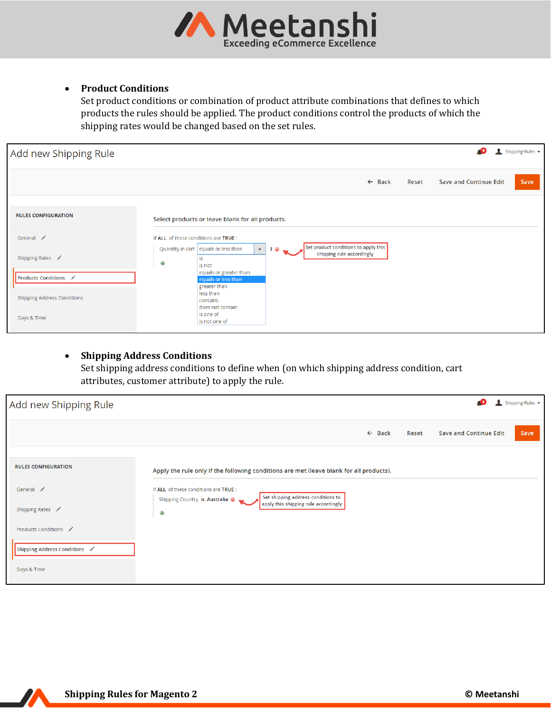

#### • **Product Conditions**

Set product conditions or combination of product attribute combinations that defines to which products the rules should be applied. The product conditions control the products of which the shipping rates would be changed based on the set rules.

| Add new Shipping Rule              |                                       |                                                               |           |                                      |                   |       |                               | Shipping-Rules v |
|------------------------------------|---------------------------------------|---------------------------------------------------------------|-----------|--------------------------------------|-------------------|-------|-------------------------------|------------------|
|                                    |                                       |                                                               |           |                                      | $\leftarrow$ Back | Reset | <b>Save and Continue Edit</b> | Save             |
| <b>RULES CONFIGURATION</b>         |                                       | Select products or leave blank for all products.              |           |                                      |                   |       |                               |                  |
| General /                          | If ALL of these conditions are TRUE : | Quantity in cart equals or less than<br>$\blacktriangle$      | $3 \circ$ | Set product conditions to apply this |                   |       |                               |                  |
| Shipping Rates /                   | $\odot$                               | is<br>is not                                                  |           | shipping rule accordingly            |                   |       |                               |                  |
| <b>Products Conditions</b>         |                                       | equals or greater than<br>equals or less than<br>greater than |           |                                      |                   |       |                               |                  |
| <b>Shipping Address Conditions</b> |                                       | less than<br>contains<br>does not contain                     |           |                                      |                   |       |                               |                  |
| Days & Time                        |                                       | is one of<br>is not one of                                    |           |                                      |                   |       |                               |                  |

# • **Shipping Address Conditions**

Set shipping address conditions to define when (on which shipping address condition, cart attributes, customer attribute) to apply the rule.

| Add new Shipping Rule                                             |                                                                                                                                                                     |       |                               | Shipping-Rules v |
|-------------------------------------------------------------------|---------------------------------------------------------------------------------------------------------------------------------------------------------------------|-------|-------------------------------|------------------|
|                                                                   | $\leftarrow$ Back                                                                                                                                                   | Reset | <b>Save and Continue Edit</b> | Save             |
| <b>RULES CONFIGURATION</b>                                        | Apply the rule only if the following conditions are met (leave blank for all products).                                                                             |       |                               |                  |
| General /<br>Shipping Rates /                                     | If ALL of these conditions are TRUE :<br>Set shipping address conditions to<br>Shipping Country is Australia @<br>apply this shipping rule accordingly<br>$\bullet$ |       |                               |                  |
| Products Conditions<br>Shipping Address Conditions<br>Days & Time |                                                                                                                                                                     |       |                               |                  |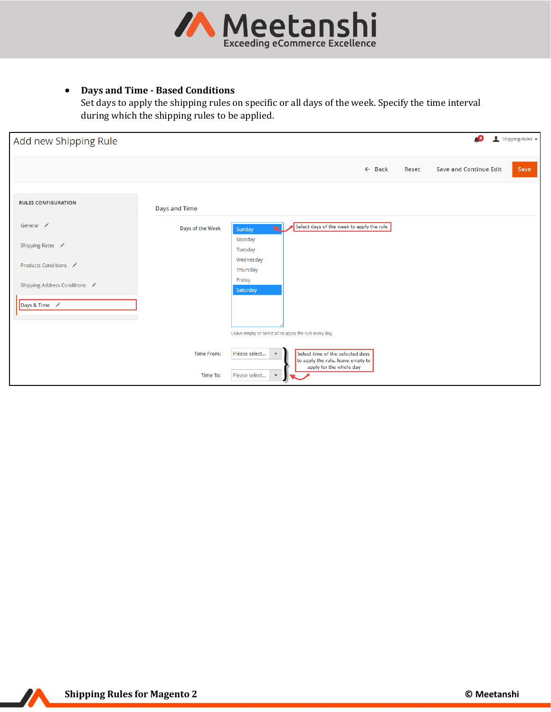

#### • **Days and Time - Based Conditions**

Set days to apply the shipping rules on specific or all days of the week. Specify the time interval during which the shipping rules to be applied.

| Add new Shipping Rule       |                  |                                                       |                                                                       |                   |       | <b>C</b> <sup>9</sup>         | Shipping-Rules v |
|-----------------------------|------------------|-------------------------------------------------------|-----------------------------------------------------------------------|-------------------|-------|-------------------------------|------------------|
|                             |                  |                                                       |                                                                       | $\leftarrow$ Back | Reset | <b>Save and Continue Edit</b> | Save             |
| <b>RULES CONFIGURATION</b>  | Days and Time    |                                                       |                                                                       |                   |       |                               |                  |
| General /                   | Days of the Week | $\mathbf{v}$<br>Sunday                                | Select days of the week to apply the rule                             |                   |       |                               |                  |
| Shipping Rates              |                  | Monday<br>Tuesday                                     |                                                                       |                   |       |                               |                  |
| Products Conditions         |                  | Wednesday<br>Thursday                                 |                                                                       |                   |       |                               |                  |
| Shipping Address Conditions |                  | Friday<br>Saturday                                    |                                                                       |                   |       |                               |                  |
| Days & Time                 |                  |                                                       |                                                                       |                   |       |                               |                  |
|                             |                  | Leave empty or select all to apply the rule every day |                                                                       |                   |       |                               |                  |
|                             | Time From:       | Please select<br>$\blacktriangledown$                 | Select time of the selected days<br>to apply the rule, leave empty to |                   |       |                               |                  |
|                             | Time To:         | Please select<br>$\boldsymbol{\mathrm{v}}$            | apply for the whole day                                               |                   |       |                               |                  |

77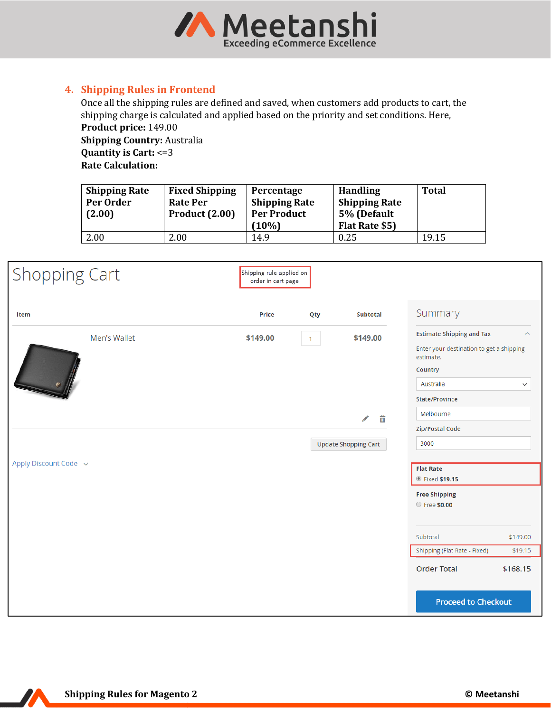

#### <span id="page-6-0"></span>**4. Shipping Rules in Frontend**

Once all the shipping rules are defined and saved, when customers add products to cart, the shipping charge is calculated and applied based on the priority and set conditions. Here, **Product price:** 149.00

**Shipping Country:** Australia **Quantity is Cart:** <=3 **Rate Calculation:** 

| <b>Shipping Rate</b><br>Per Order<br>(2.00) | <b>Fixed Shipping</b><br>Rate Per<br><b>Product (2.00)</b> | Percentage<br><b>Shipping Rate</b><br><b>Per Product</b><br>(10%) | <b>Handling</b><br><b>Shipping Rate</b><br>5% (Default<br>Flat Rate \$5) | <b>Total</b> |
|---------------------------------------------|------------------------------------------------------------|-------------------------------------------------------------------|--------------------------------------------------------------------------|--------------|
| 2.00                                        | 2.00                                                       | 14.9                                                              | 0.25                                                                     | 19.15        |

| <b>Shopping Cart</b>  | Shipping rule applied on<br>order in cart page |                |                                                   |                                                                                                                                                                                           |                                 |
|-----------------------|------------------------------------------------|----------------|---------------------------------------------------|-------------------------------------------------------------------------------------------------------------------------------------------------------------------------------------------|---------------------------------|
| Item                  | Price                                          | Qty            | <b>Subtotal</b>                                   | Summary                                                                                                                                                                                   |                                 |
| Men's Wallet          | \$149.00                                       | $\overline{1}$ | \$149.00<br>m<br>Í<br><b>Update Shopping Cart</b> | <b>Estimate Shipping and Tax</b><br>Enter your destination to get a shipping<br>estimate.<br>Country<br>Australia<br><b>State/Province</b><br>Melbourne<br><b>Zip/Postal Code</b><br>3000 | ∧<br>$\checkmark$               |
| Apply Discount Code v |                                                |                |                                                   | <b>Flat Rate</b><br>● Fixed \$19.15<br><b>Free Shipping</b><br><b>Free \$0.00</b>                                                                                                         |                                 |
|                       |                                                |                |                                                   | Subtotal<br>Shipping (Flat Rate - Fixed)<br><b>Order Total</b><br><b>Proceed to Checkout</b>                                                                                              | \$149.00<br>\$19.15<br>\$168.15 |

70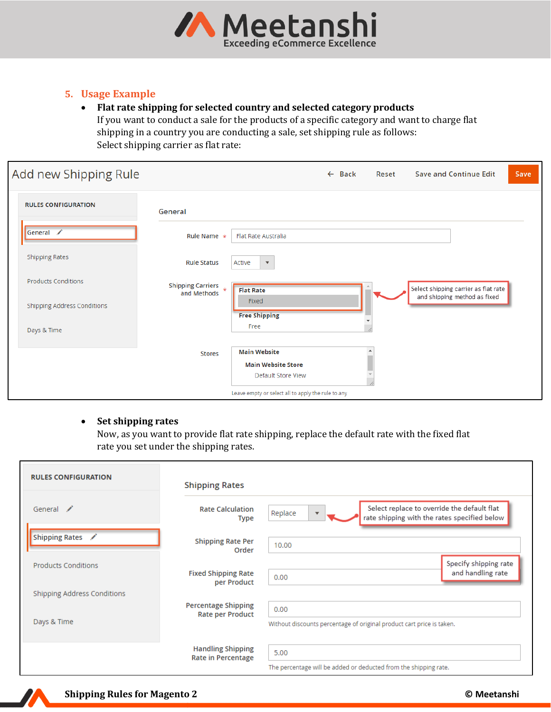

#### <span id="page-7-0"></span>**5. Usage Example**

#### • **Flat rate shipping for selected country and selected category products** If you want to conduct a sale for the products of a specific category and want to charge flat shipping in a country you are conducting a sale, set shipping rule as follows: Select shipping carrier as flat rate:

| Add new Shipping Rule       |                                          |                                                                        | $\leftarrow$ Back | Reset | <b>Save and Continue Edit</b>                                        | Save |
|-----------------------------|------------------------------------------|------------------------------------------------------------------------|-------------------|-------|----------------------------------------------------------------------|------|
| <b>RULES CONFIGURATION</b>  | General                                  |                                                                        |                   |       |                                                                      |      |
| General /                   | Rule Name $\star$                        | <b>Flat Rate Australia</b>                                             |                   |       |                                                                      |      |
| <b>Shipping Rates</b>       | <b>Rule Status</b>                       | Active<br>$\mathbf{v}$                                                 |                   |       |                                                                      |      |
| <b>Products Conditions</b>  | Shipping Carriers $\star$<br>and Methods | <b>Flat Rate</b>                                                       |                   |       | Select shipping carrier as flat rate<br>and shipping method as fixed |      |
| Shipping Address Conditions |                                          | Fixed<br><b>Free Shipping</b>                                          |                   |       |                                                                      |      |
| Days & Time                 |                                          | Free                                                                   |                   |       |                                                                      |      |
|                             | <b>Stores</b>                            | <b>Main Website</b><br><b>Main Website Store</b><br>Default Store View |                   |       |                                                                      |      |
|                             |                                          | Leave empty or select all to apply the rule to any                     |                   |       |                                                                      |      |

#### • **Set shipping rates**

Now, as you want to provide flat rate shipping, replace the default rate with the fixed flat rate you set under the shipping rates.

| <b>RULES CONFIGURATION</b>  | <b>Shipping Rates</b>                                 |                                                                                                        |
|-----------------------------|-------------------------------------------------------|--------------------------------------------------------------------------------------------------------|
| General /                   | <b>Rate Calculation</b><br><b>Type</b>                | Select replace to override the default flat<br>Replace<br>rate shipping with the rates specified below |
| Shipping Rates /            | <b>Shipping Rate Per</b><br>Order                     | 10.00                                                                                                  |
| <b>Products Conditions</b>  | <b>Fixed Shipping Rate</b><br>per Product             | Specify shipping rate<br>and handling rate<br>0.00                                                     |
| Shipping Address Conditions |                                                       |                                                                                                        |
| Days & Time                 | <b>Percentage Shipping</b><br><b>Rate per Product</b> | 0.00<br>Without discounts percentage of original product cart price is taken.                          |
|                             | <b>Handling Shipping</b><br><b>Rate in Percentage</b> | 5.00<br>The percentage will be added or deducted from the shipping rate.                               |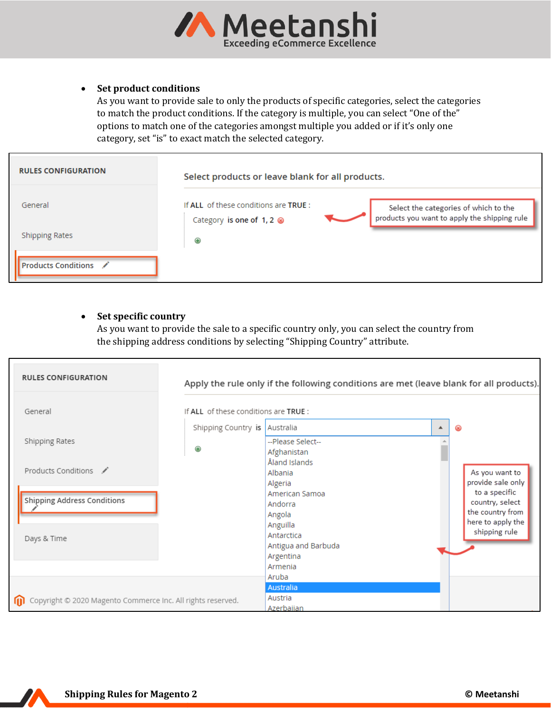

#### • **Set product conditions**

As you want to provide sale to only the products of specific categories, select the categories to match the product conditions. If the category is multiple, you can select "One of the" options to match one of the categories amongst multiple you added or if it's only one category, set "is" to exact match the selected category.

| <b>RULES CONFIGURATION</b> | Select products or leave blank for all products.                 |                                                                                       |  |  |  |  |
|----------------------------|------------------------------------------------------------------|---------------------------------------------------------------------------------------|--|--|--|--|
| General                    | If ALL of these conditions are TRUE :<br>Category is one of 1, 2 | Select the categories of which to the<br>products you want to apply the shipping rule |  |  |  |  |
| <b>Shipping Rates</b>      | ⊕                                                                |                                                                                       |  |  |  |  |
| <b>Products Conditions</b> |                                                                  |                                                                                       |  |  |  |  |

#### • **Set specific country**

As you want to provide the sale to a specific country only, you can select the country from the shipping address conditions by selecting "Shipping Country" attribute.

| <b>RULES CONFIGURATION</b>                                  |                                       | Apply the rule only if the following conditions are met (leave blank for all products). |   |                                                        |
|-------------------------------------------------------------|---------------------------------------|-----------------------------------------------------------------------------------------|---|--------------------------------------------------------|
| General                                                     | If ALL of these conditions are TRUE : |                                                                                         |   |                                                        |
|                                                             | Shipping Country is Australia         |                                                                                         | ▲ | $\otimes$                                              |
| Shipping Rates                                              | ⊕                                     | --Please Select--<br>Afghanistan                                                        |   |                                                        |
| Products Conditions ✔                                       |                                       | Åland Islands<br>Albania<br>Algeria                                                     |   | As you want to<br>provide sale only                    |
| <b>Shipping Address Conditions</b>                          |                                       | American Samoa<br>Andorra                                                               |   | to a specific<br>country, select                       |
|                                                             |                                       | Angola<br>Anguilla<br>Antarctica                                                        |   | the country from<br>here to apply the<br>shipping rule |
| Days & Time                                                 |                                       | Antigua and Barbuda<br>Argentina                                                        |   |                                                        |
|                                                             |                                       | Armenia<br>Aruba                                                                        |   |                                                        |
|                                                             |                                       | <b>Australia</b>                                                                        |   |                                                        |
| Copyright © 2020 Magento Commerce Inc. All rights reserved. |                                       | Austria<br>Azerbaijan                                                                   |   |                                                        |